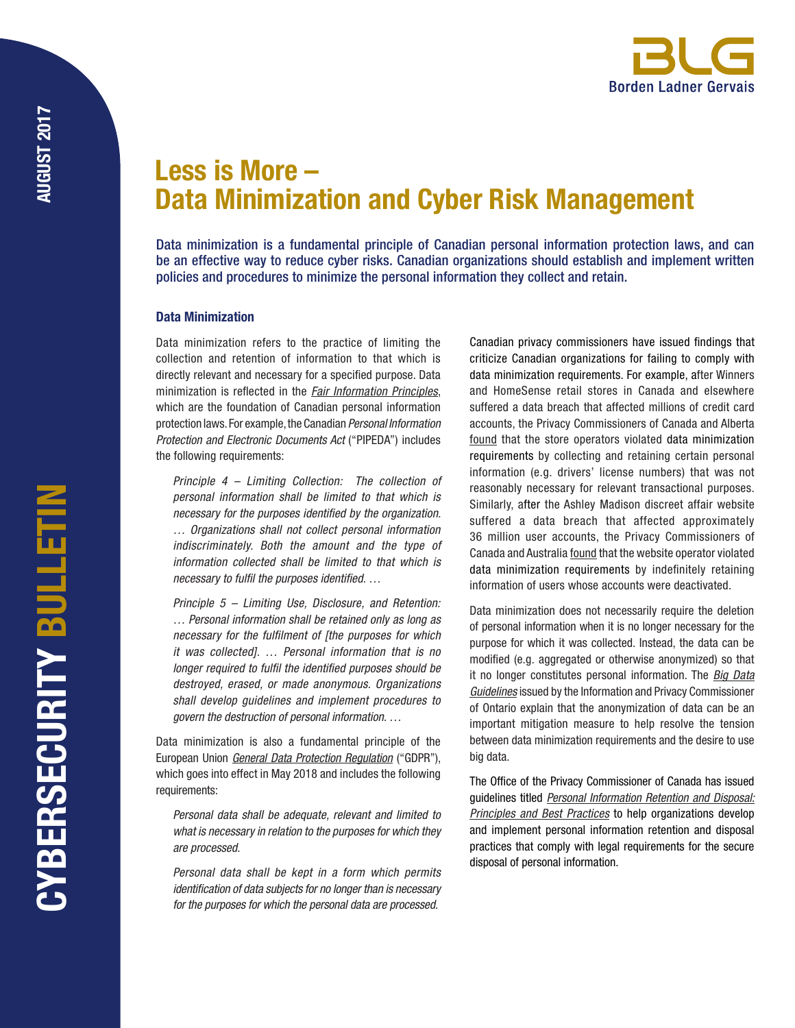

# Less is More – Data Minimization and Cyber Risk Management

Data minimization is a fundamental principle of Canadian personal information protection laws, and can be an effective way to reduce cyber risks. Canadian organizations should establish and implement written policies and procedures to minimize the personal information they collect and retain.

# Data Minimization

Data minimization refers to the practice of limiting the collection and retention of information to that which is directly relevant and necessary for a specified purpose. Data minimization is reflected in the *[Fair Information Principles](https://www.priv.gc.ca/en/privacy-topics/privacy-laws-in-canada/the-personal-information-protection-and-electronic-documents-act-pipeda/p_principle/)*, which are the foundation of Canadian personal information protection laws. For example, the Canadian *Personal Information Protection and Electronic Documents Act* ("PIPEDA") includes the following requirements:

*Principle 4 – Limiting Collection: The collection of personal information shall be limited to that which is necessary for the purposes identified by the organization. … Organizations shall not collect personal information indiscriminately. Both the amount and the type of information collected shall be limited to that which is necessary to fulfil the purposes identified. …* 

*Principle 5 – Limiting Use, Disclosure, and Retention: … Personal information shall be retained only as long as necessary for the fulfilment of [the purposes for which it was collected]. … Personal information that is no longer required to fulfil the identified purposes should be destroyed, erased, or made anonymous. Organizations shall develop guidelines and implement procedures to govern the destruction of personal information. …*

Data minimization is also a fundamental principle of the European Union *[General Data Protection Regulation](http://www.eugdpr.org/)* ("GDPR"), which goes into effect in May 2018 and includes the following requirements:

*Personal data shall be adequate, relevant and limited to what is necessary in relation to the purposes for which they are processed.*

*Personal data shall be kept in a form which permits identification of data subjects for no longer than is necessary for the purposes for which the personal data are processed.*

Canadian privacy commissioners have issued findings that criticize Canadian organizations for failing to comply with data minimization requirements. For example, after Winners and HomeSense retail stores in Canada and elsewhere suffered a data breach that affected millions of credit card accounts, the Privacy Commissioners of Canada and Alberta [found](https://www.priv.gc.ca/en/opc-actions-and-decisions/investigations/investigations-into-businesses/2007/tjx_rep_070925/) that the store operators violated data minimization requirements by collecting and retaining certain personal information (e.g. drivers' license numbers) that was not reasonably necessary for relevant transactional purposes. Similarly, after the Ashley Madison discreet affair website suffered a data breach that affected approximately 36 million user accounts, the Privacy Commissioners of Canada and Australia [found](https://www.priv.gc.ca/en/opc-actions-and-decisions/investigations/investigations-into-businesses/2016/pipeda-2016-005/) that the website operator violated data minimization requirements by indefinitely retaining information of users whose accounts were deactivated.

Data minimization does not necessarily require the deletion of personal information when it is no longer necessary for the purpose for which it was collected. Instead, the data can be modified (e.g. aggregated or otherwise anonymized) so that it no longer constitutes personal information. The *[Big Data](https://www.ipc.on.ca/wp-content/uploads/2017/05/bigdata-guidelines.pdf) [Guidelines](https://www.ipc.on.ca/wp-content/uploads/2017/05/bigdata-guidelines.pdf)* issued by the Information and Privacy Commissioner of Ontario explain that the anonymization of data can be an important mitigation measure to help resolve the tension between data minimization requirements and the desire to use big data.

The Office of the Privacy Commissioner of Canada has issued guidelines titled *[Personal Information Retention and Disposal:](https://www.priv.gc.ca/en/privacy-topics/safeguarding-personal-information/gd_rd_201406/) [Principles and Best Practices](https://www.priv.gc.ca/en/privacy-topics/safeguarding-personal-information/gd_rd_201406/)* to help organizations develop and implement personal information retention and disposal practices that comply with legal requirements for the secure disposal of personal information.